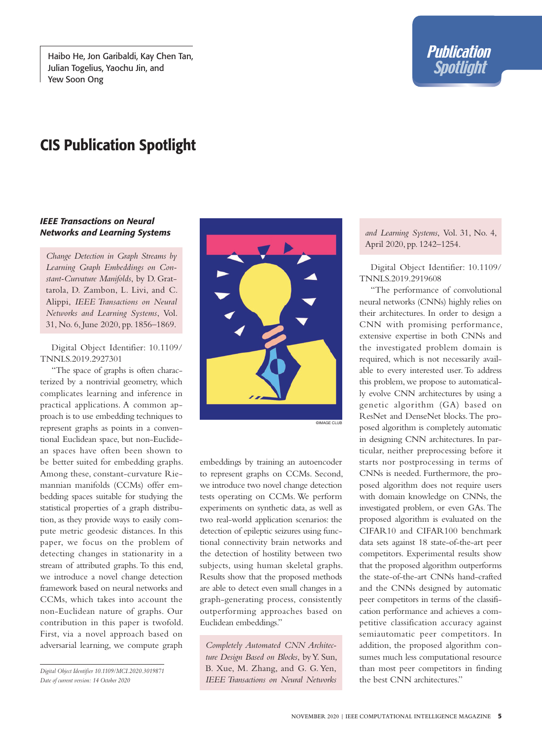Haibo He, Jon Garibaldi, Kay Chen Tan, Julian Togelius, Yaochu Jin, and Yew Soon Ong

# CIS Publication Spotlight

## *IEEE Transactions on Neural Networks and Learning Systems*

*Change Detection in Graph Streams by Learning Graph Embeddings on Constant-Curvature Manifolds*, by D. Grattarola, D. Zambon, L. Livi, and C. Alippi, *IEEE Transactions on Neural Networks and Learning Systems*, Vol. 31, No. 6, June 2020, pp. 1856–1869.

Digital Object Identifier: 10.1109/ TNNLS.2019.2927301

"The space of graphs is often characterized by a nontrivial geometry, which complicates learning and inference in practical applications. A common approach is to use embedding techniques to represent graphs as points in a conventional Euclidean space, but non-Euclidean spaces have often been shown to be better suited for embedding graphs. Among these, constant-curvature Riemannian manifolds (CCMs) offer embedding spaces suitable for studying the statistical properties of a graph distribution, as they provide ways to easily compute metric geodesic distances. In this paper, we focus on the problem of detecting changes in stationarity in a stream of attributed graphs. To this end, we introduce a novel change detection framework based on neural networks and CCMs, which takes into account the non-Euclidean nature of graphs. Our contribution in this paper is twofold. First, via a novel approach based on adversarial learning, we compute graph

*Digital Object Identifier 10.1109/MCI.2020.3019871 Date of current version: 14 October 2020*



embeddings by training an autoencoder to represent graphs on CCMs. Second, we introduce two novel change detection tests operating on CCMs. We perform experiments on synthetic data, as well as two real-world application scenarios: the detection of epileptic seizures using functional connectivity brain networks and the detection of hostility between two subjects, using human skeletal graphs. Results show that the proposed methods are able to detect even small changes in a graph-generating process, consistently outperforming approaches based on Euclidean embeddings."

*Completely Automated CNN Architecture Design Based on Blocks*, by Y. Sun, B. Xue, M. Zhang, and G. G. Yen, *IEEE Transactions on Neural Networks* 

*and Learning Systems*, Vol. 31, No. 4, April 2020, pp. 1242–1254.

Digital Object Identifier: 10.1109/ TNNLS.2019.2919608

"The performance of convolutional neural networks (CNNs) highly relies on their architectures. In order to design a CNN with promising performance, extensive expertise in both CNNs and the investigated problem domain is required, which is not necessarily available to every interested user. To address this problem, we propose to automatically evolve CNN architectures by using a genetic algorithm (GA) based on ResNet and DenseNet blocks. The proposed algorithm is completely automatic in designing CNN architectures. In particular, neither preprocessing before it starts nor postprocessing in terms of CNNs is needed. Furthermore, the proposed algorithm does not require users with domain knowledge on CNNs, the investigated problem, or even GAs. The proposed algorithm is evaluated on the CIFAR10 and CIFAR100 benchmark data sets against 18 state-of-the-art peer competitors. Experimental results show that the proposed algorithm outperforms the state-of-the-art CNNs hand-crafted and the CNNs designed by automatic peer competitors in terms of the classification performance and achieves a competitive classification accuracy against semiautomatic peer competitors. In addition, the proposed algorithm consumes much less computational resource than most peer competitors in finding the best CNN architectures."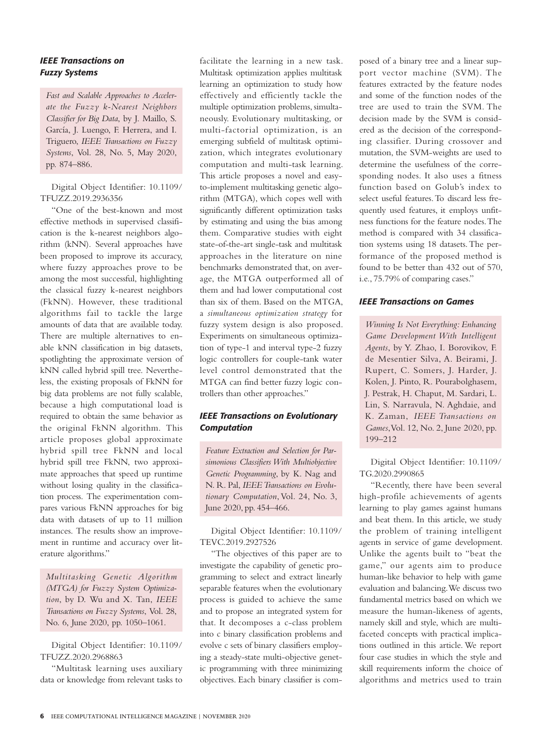### *IEEE Transactions on Fuzzy Systems*

*Fast and Scalable Approaches to Accelerate the Fuzzy k-Nearest Neighbors Classifier for Big Data*, by J. Maillo, S. García, J. Luengo, F. Herrera, and I. Triguero, *IEEE Transactions on Fuzzy Systems*, Vol. 28, No. 5, May 2020, pp. 874–886.

Digital Object Identifier: 10.1109/ TFUZZ.2019.2936356

"One of the best-known and most effective methods in supervised classification is the k-nearest neighbors algorithm (kNN). Several approaches have been proposed to improve its accuracy, where fuzzy approaches prove to be among the most successful, highlighting the classical fuzzy k-nearest neighbors (FkNN). However, these traditional algorithms fail to tackle the large amounts of data that are available today. There are multiple alternatives to enable kNN classification in big datasets, spotlighting the approximate version of kNN called hybrid spill tree. Nevertheless, the existing proposals of FkNN for big data problems are not fully scalable, because a high computational load is required to obtain the same behavior as the original FkNN algorithm. This article proposes global approximate hybrid spill tree FkNN and local hybrid spill tree FkNN, two approximate approaches that speed up runtime without losing quality in the classification process. The experimentation compares various FkNN approaches for big data with datasets of up to 11 million instances. The results show an improvement in runtime and accuracy over literature algorithms."

*Multitasking Genetic Algorithm (MTGA) for Fuzzy System Optimization*, by D. Wu and X. Tan, *IEEE Transactions on Fuzzy Systems*, Vol. 28, No. 6, June 2020, pp. 1050–1061.

Digital Object Identifier: 10.1109/ TFUZZ.2020.2968863

"Multitask learning uses auxiliary data or knowledge from relevant tasks to

facilitate the learning in a new task. Multitask optimization applies multitask learning an optimization to study how effectively and efficiently tackle the multiple optimization problems, simultaneously. Evolutionary multitasking, or multi-factorial optimization, is an emerging subfield of multitask optimization, which integrates evolutionary computation and multi-task learning. This article proposes a novel and easyto-implement multitasking genetic algorithm (MTGA), which copes well with significantly different optimization tasks by estimating and using the bias among them. Comparative studies with eight state-of-the-art single-task and multitask approaches in the literature on nine benchmarks demonstrated that, on average, the MTGA outperformed all of them and had lower computational cost than six of them. Based on the MTGA, a *simultaneous optimization strategy* for fuzzy system design is also proposed. Experiments on simultaneous optimization of type-1 and interval type-2 fuzzy logic controllers for couple-tank water level control demonstrated that the MTGA can find better fuzzy logic controllers than other approaches."

## *IEEE Transactions on Evolutionary Computation*

*Feature Extraction and Selection for Parsimonious Classifiers With Multiobjective Genetic Programming*, by K. Nag and N. R. Pal, *IEEE Transactions on Evolutionary Computation*, Vol. 24, No. 3, June 2020, pp. 454–466.

Digital Object Identifier: 10.1109/ TEVC.2019.2927526

"The objectives of this paper are to investigate the capability of genetic programming to select and extract linearly separable features when the evolutionary process is guided to achieve the same and to propose an integrated system for that. It decomposes a c-class problem into c binary classification problems and evolve c sets of binary classifiers employing a steady-state multi-objective genetic programming with three minimizing objectives. Each binary classifier is composed of a binary tree and a linear support vector machine (SVM). The features extracted by the feature nodes and some of the function nodes of the tree are used to train the SVM. The decision made by the SVM is considered as the decision of the corresponding classifier. During crossover and mutation, the SVM-weights are used to determine the usefulness of the corresponding nodes. It also uses a fitness function based on Golub's index to select useful features. To discard less frequently used features, it employs unfitness functions for the feature nodes. The method is compared with 34 classification systems using 18 datasets. The performance of the proposed method is found to be better than 432 out of 570, i.e., 75.79% of comparing cases."

#### *IEEE Transactions on Games*

*Winning Is Not Everything: Enhancing Game Development With Intelligent Agents*, by Y. Zhao, I. Borovikov, F. de Mesentier Silva, A. Beirami, J. Rupert, C. Somers, J. Harder, J. Kolen, J. Pinto, R. Pourabolghasem, J. Pestrak, H. Chaput, M. Sardari, L. Lin, S. Narravula, N. Aghdaie, and K. Zaman, *IEEE Transactions on Games*, Vol. 12, No. 2, June 2020, pp. 199–212

Digital Object Identifier: 10.1109/ TG.2020.2990865

"Recently, there have been several high-profile achievements of agents learning to play games against humans and beat them. In this article, we study the problem of training intelligent agents in service of game development. Unlike the agents built to "beat the game," our agents aim to produce human-like behavior to help with game evaluation and balancing. We discuss two fundamental metrics based on which we measure the human-likeness of agents, namely skill and style, which are multifaceted concepts with practical implications outlined in this article. We report four case studies in which the style and skill requirements inform the choice of algorithms and metrics used to train